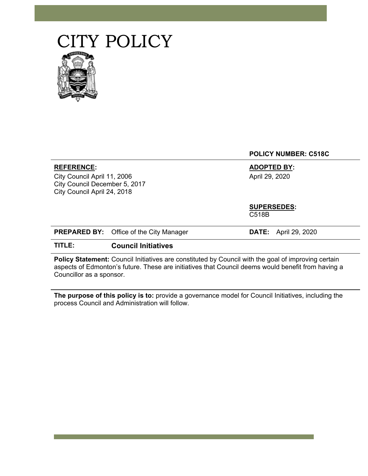## CITY POLICY



|                                                                                                            |                                                | <b>POLICY NUMBER: C518C</b>          |
|------------------------------------------------------------------------------------------------------------|------------------------------------------------|--------------------------------------|
| <b>REFERENCE:</b><br>City Council April 11, 2006<br>City Council December 5, 2017                          |                                                | <b>ADOPTED BY:</b><br>April 29, 2020 |
| City Council April 24, 2018                                                                                |                                                |                                      |
|                                                                                                            |                                                | <b>SUPERSEDES:</b><br>C518B          |
|                                                                                                            | <b>PREPARED BY:</b> Office of the City Manager | April 29, 2020<br>DATE:              |
| TITLE:                                                                                                     | <b>Council Initiatives</b>                     |                                      |
| <b>Policy Statement:</b> Council Initiatives are constituted by Council with the goal of improving certain |                                                |                                      |

aspects of Edmonton's future. These are initiatives that Council deems would benefit from having a Councillor as a sponsor.

**The purpose of this policy is to:** provide a governance model for Council Initiatives, including the process Council and Administration will follow.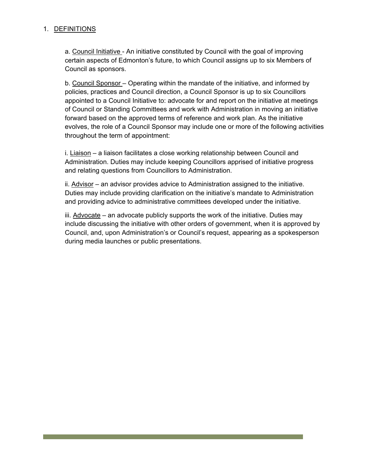## 1. DEFINITIONS

a. Council Initiative - An initiative constituted by Council with the goal of improving certain aspects of Edmonton's future, to which Council assigns up to six Members of Council as sponsors.

b. Council Sponsor – Operating within the mandate of the initiative, and informed by policies, practices and Council direction, a Council Sponsor is up to six Councillors appointed to a Council Initiative to: advocate for and report on the initiative at meetings of Council or Standing Committees and work with Administration in moving an initiative forward based on the approved terms of reference and work plan. As the initiative evolves, the role of a Council Sponsor may include one or more of the following activities throughout the term of appointment:

i. Liaison – a liaison facilitates a close working relationship between Council and Administration. Duties may include keeping Councillors apprised of initiative progress and relating questions from Councillors to Administration.

ii. Advisor – an advisor provides advice to Administration assigned to the initiative. Duties may include providing clarification on the initiative's mandate to Administration and providing advice to administrative committees developed under the initiative.

iii.  $Advocate -$  an advocate publicly supports the work of the initiative. Duties may include discussing the initiative with other orders of government, when it is approved by Council, and, upon Administration's or Council's request, appearing as a spokesperson during media launches or public presentations.